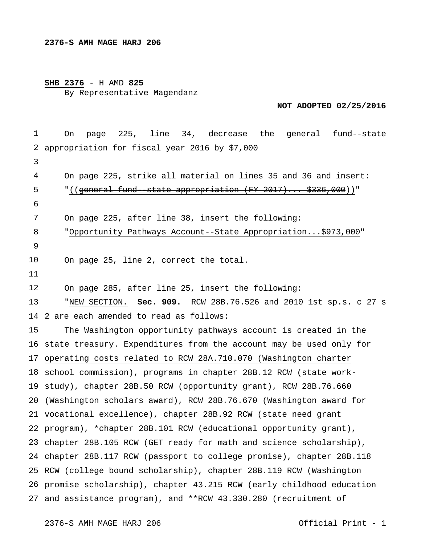## **SHB 2376** - H AMD **825** By Representative Magendanz

**NOT ADOPTED 02/25/2016** 

 appropriation for fiscal year 2016 by \$7,000 2 are each amended to read as follows: state treasury. Expenditures from the account may be used only for operating costs related to RCW 28A.710.070 (Washington charter school commission), programs in chapter 28B.12 RCW (state work- study), chapter 28B.50 RCW (opportunity grant), RCW 28B.76.660 (Washington scholars award), RCW 28B.76.670 (Washington award for vocational excellence), chapter 28B.92 RCW (state need grant program), \*chapter 28B.101 RCW (educational opportunity grant), chapter 28B.105 RCW (GET ready for math and science scholarship), chapter 28B.117 RCW (passport to college promise), chapter 28B.118 RCW (college bound scholarship), chapter 28B.119 RCW (Washington promise scholarship), chapter 43.215 RCW (early childhood education and assistance program), and \*\*RCW 43.330.280 (recruitment of On page 225, line 34, decrease the general fund--state On page 225, strike all material on lines 35 and 36 and insert: "((general fund--state appropriation (FY 2017)... \$336,000))" On page 225, after line 38, insert the following: "Opportunity Pathways Account--State Appropriation...\$973,000" On page 25, line 2, correct the total. On page 285, after line 25, insert the following: "NEW SECTION. **Sec. 909.** RCW 28B.76.526 and 2010 1st sp.s. c 27 s The Washington opportunity pathways account is created in the